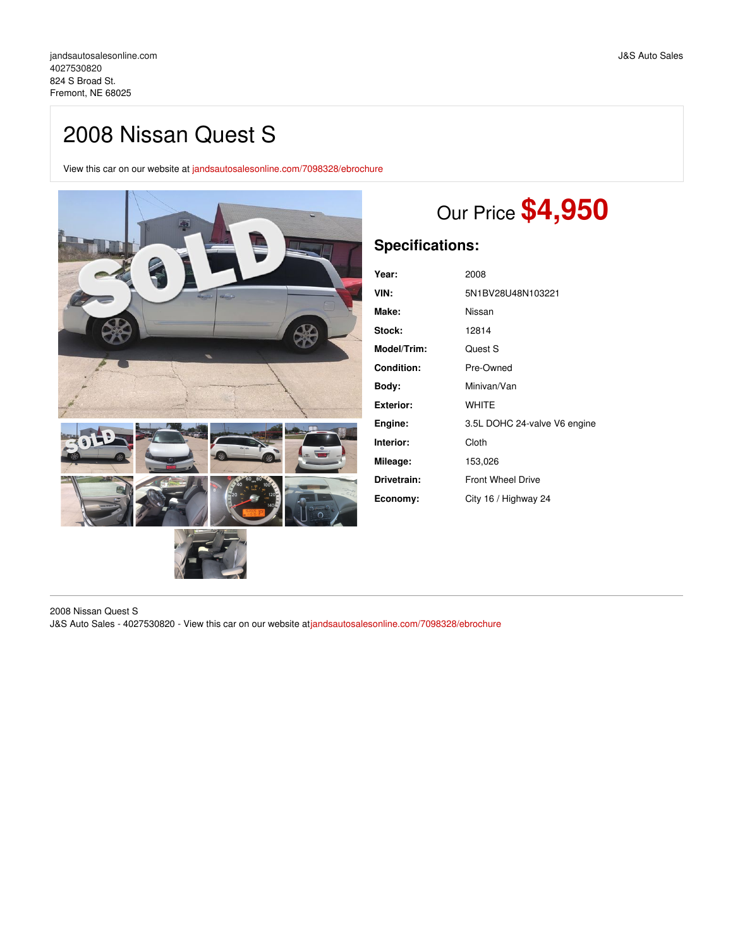## 2008 Nissan Quest S

View this car on our website at [jandsautosalesonline.com/7098328/ebrochure](https://jandsautosalesonline.com/vehicle/7098328/2008-nissan-quest-s-fremont-ne-68025/7098328/ebrochure)



# Our Price **\$4,950**

## **Specifications:**

| Year:            | 2008                         |
|------------------|------------------------------|
| VIN:             | 5N1BV28U48N103221            |
| Make:            | Nissan                       |
| Stock:           | 12814                        |
| Model/Trim:      | Quest S                      |
| Condition:       | Pre-Owned                    |
| Body:            | Minivan/Van                  |
| <b>Exterior:</b> | <b>WHITE</b>                 |
| Engine:          | 3.5L DOHC 24-valve V6 engine |
| Interior:        | Cloth                        |
| Mileage:         | 153,026                      |
| Drivetrain:      | <b>Front Wheel Drive</b>     |
| Economy:         | City 16 / Highway 24         |

2008 Nissan Quest S J&S Auto Sales - 4027530820 - View this car on our website at[jandsautosalesonline.com/7098328/ebrochure](https://jandsautosalesonline.com/vehicle/7098328/2008-nissan-quest-s-fremont-ne-68025/7098328/ebrochure)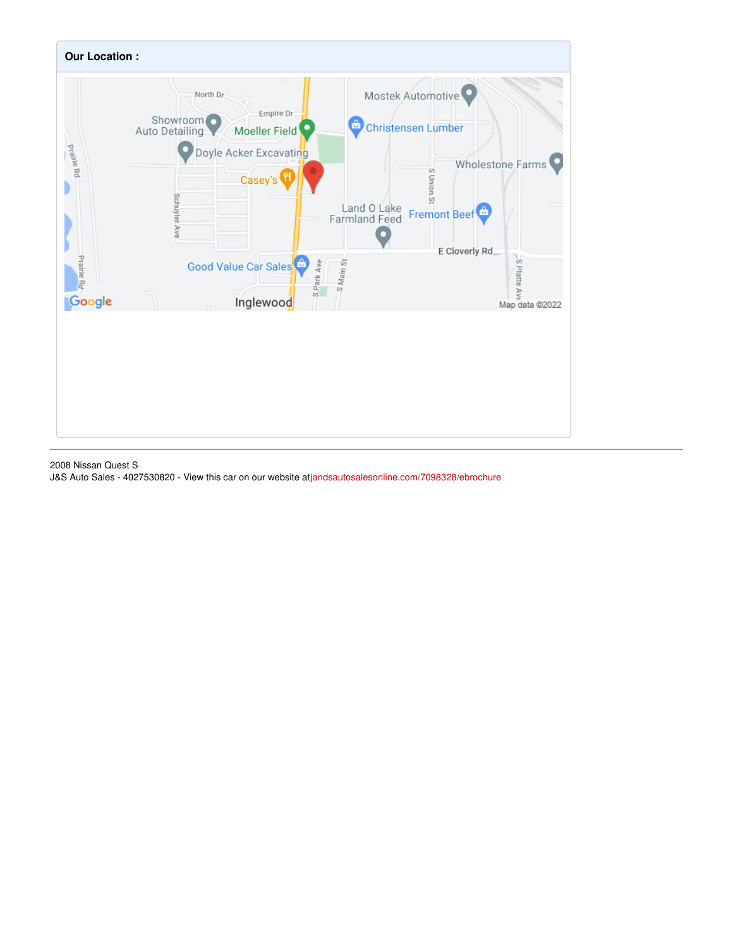

2008 Nissan Quest S

J&S Auto Sales - 4027530820 - View this car on our website at[jandsautosalesonline.com/7098328/ebrochure](https://jandsautosalesonline.com/vehicle/7098328/2008-nissan-quest-s-fremont-ne-68025/7098328/ebrochure)